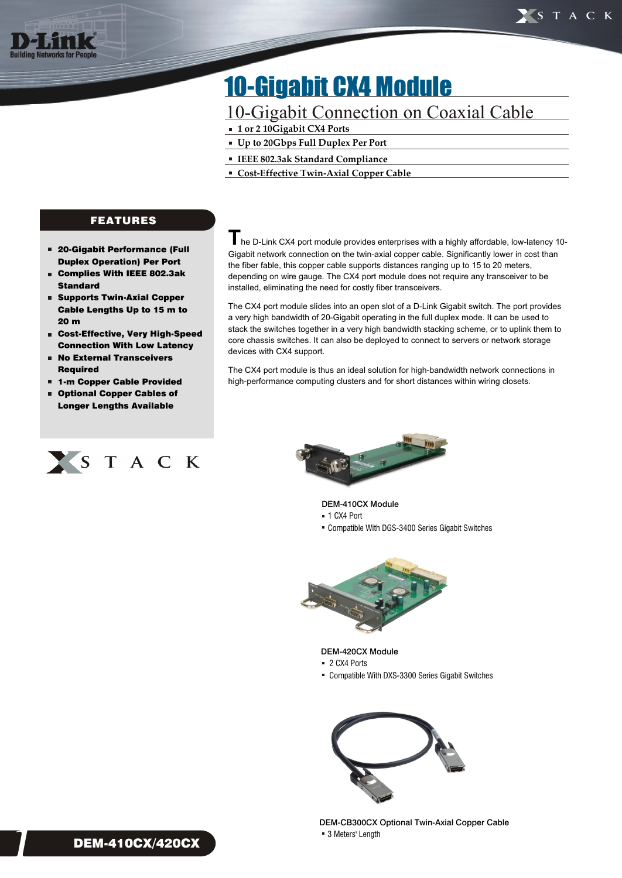

# 10-Gigabit CX4 Module

## 10-Gigabit Connection on Coaxial Cable

- **1 or 2 10Gigabit CX4 Ports**
- **Up to 20Gbps Full Duplex Per Port**
- **IEEE 802.3ak Standard Compliance**
- **Cost-Effective Twin-Axial Copper Cable**

### FEATURES

- 20-Gigabit Performance (Full Duplex Operation) Per Port
- Complies With IEEE 802.3ak Standard
- Supports Twin-Axial Copper Cable Lengths Up to 15 m to 20 m
- $\blacksquare$ Cost-Effective, Very High-Speed Connection With Low Latency
- No External Transceivers n Required
- 1-m Copper Cable Provided r.
- Optional Copper Cables of Longer Lengths Available



**T** he D-Link CX4 port module provides enterprises with a highly affordable, low-latency 10-Gigabit network connection on the twin-axial copper cable. Significantly lower in cost than the fiber fable, this copper cable supports distances ranging up to 15 to 20 meters, depending on wire gauge. The CX4 port module does not require any transceiver to be installed, eliminating the need for costly fiber transceivers.

The CX4 port module slides into an open slot of a D-Link Gigabit switch. The port provides a very high bandwidth of 20-Gigabit operating in the full duplex mode. It can be used to stack the switches together in a very high bandwidth stacking scheme, or to uplink them to core chassis switches. It can also be deployed to connect to servers or network storage devices with CX4 support.

The CX4 port module is thus an ideal solution for high-bandwidth network connections in high-performance computing clusters and for short distances within wiring closets.



#### DEM-410CX Module

- 1 CX4 Port
- Compatible With DGS-3400 Series Gigabit Switches



#### DEM-420CX Module

- 2 CX4 Ports
- Compatible With DXS-3300 Series Gigabit Switches



DEM-CB300CX Optional Twin-Axial Copper Cable ■ 3 Meters' Length



1